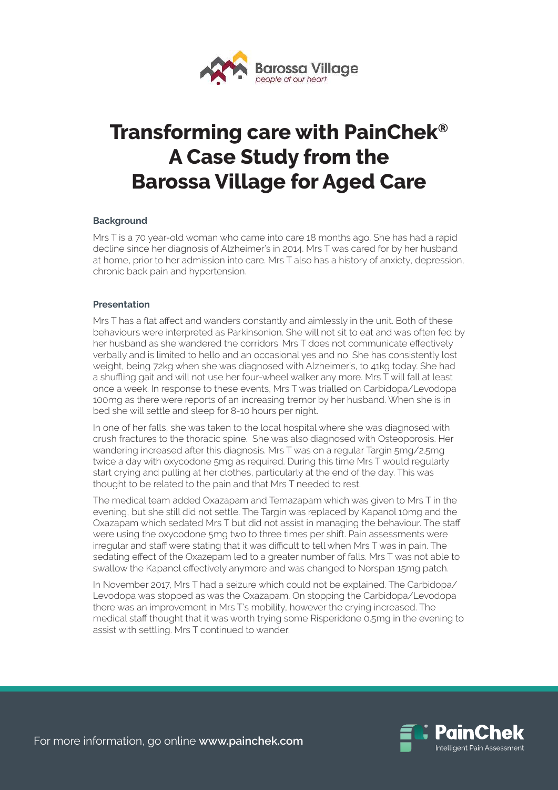

# **Transforming care with PainChek® A Case Study from the Barossa Village for Aged Care**

### **Background**

Mrs T is a 70 year-old woman who came into care 18 months ago. She has had a rapid decline since her diagnosis of Alzheimer's in 2014. Mrs T was cared for by her husband at home, prior to her admission into care. Mrs T also has a history of anxiety, depression, chronic back pain and hypertension.

## **Presentation**

Mrs T has a flat affect and wanders constantly and aimlessly in the unit. Both of these behaviours were interpreted as Parkinsonion. She will not sit to eat and was often fed by her husband as she wandered the corridors. Mrs T does not communicate effectively verbally and is limited to hello and an occasional yes and no. She has consistently lost weight, being 72kg when she was diagnosed with Alzheimer's, to 41kg today. She had a shuffling gait and will not use her four-wheel walker any more. Mrs T will fall at least once a week. In response to these events, Mrs T was trialled on Carbidopa/Levodopa 100mg as there were reports of an increasing tremor by her husband. When she is in bed she will settle and sleep for 8-10 hours per night.

In one of her falls, she was taken to the local hospital where she was diagnosed with crush fractures to the thoracic spine. She was also diagnosed with Osteoporosis. Her wandering increased after this diagnosis. Mrs T was on a regular Targin 5mg/2.5mg twice a day with oxycodone 5mg as required. During this time Mrs T would regularly start crying and pulling at her clothes, particularly at the end of the day. This was thought to be related to the pain and that Mrs T needed to rest.

The medical team added Oxazapam and Temazapam which was given to Mrs T in the evening, but she still did not settle. The Targin was replaced by Kapanol 10mg and the Oxazapam which sedated Mrs T but did not assist in managing the behaviour. The staff were using the oxycodone 5mg two to three times per shift. Pain assessments were irregular and staff were stating that it was difficult to tell when Mrs T was in pain. The sedating effect of the Oxazepam led to a greater number of falls. Mrs T was not able to swallow the Kapanol effectively anymore and was changed to Norspan 15mg patch.

In November 2017, Mrs T had a seizure which could not be explained. The Carbidopa/ Levodopa was stopped as was the Oxazapam. On stopping the Carbidopa/Levodopa there was an improvement in Mrs T's mobility, however the crying increased. The medical staff thought that it was worth trying some Risperidone 0.5mg in the evening to assist with settling. Mrs T continued to wander.